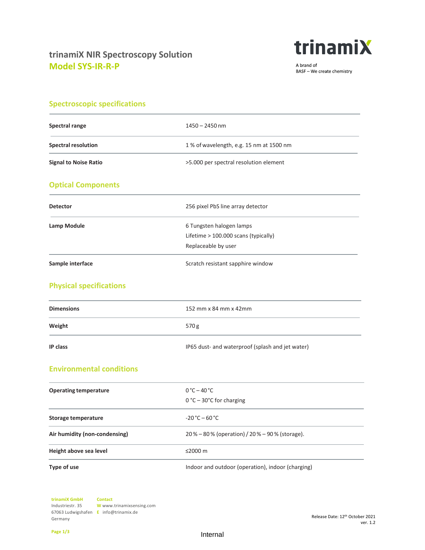

A brand of BASF - We create chemistry

|  |  | <b>Spectroscopic specifications</b> |  |
|--|--|-------------------------------------|--|
|  |  |                                     |  |

| <b>Spectral range</b>           | $1450 - 2450$ nm                                 |
|---------------------------------|--------------------------------------------------|
| <b>Spectral resolution</b>      | 1% of wavelength, e.g. 15 nm at 1500 nm          |
| <b>Signal to Noise Ratio</b>    | >5.000 per spectral resolution element           |
| <b>Optical Components</b>       |                                                  |
| <b>Detector</b>                 | 256 pixel PbS line array detector                |
| Lamp Module                     | 6 Tungsten halogen lamps                         |
|                                 | Lifetime > 100.000 scans (typically)             |
|                                 | Replaceable by user                              |
| Sample interface                | Scratch resistant sapphire window                |
| <b>Physical specifications</b>  |                                                  |
| <b>Dimensions</b>               | 152 mm x 84 mm x 42mm                            |
| Weight                          | 570g                                             |
| IP class                        | IP65 dust- and waterproof (splash and jet water) |
| <b>Environmental conditions</b> |                                                  |
| <b>Operating temperature</b>    | $0^{\circ}$ C – 40 $^{\circ}$ C                  |
|                                 | 0 °C - 30°C for charging                         |
| <b>Storage temperature</b>      | $-20 °C - 60 °C$                                 |
| Air humidity (non-condensing)   | 20% - 80% (operation) / 20% - 90% (storage).     |
| Height above sea level          | ≤2000 m                                          |

**Type of use** Indoor and outdoor (operation), indoor (charging)

**trinamiX GmbH**  Industriestr. 35 67063 Ludwigshafen **E** info@trinamix.de Germany **Contact W** www.trinamixsensing.com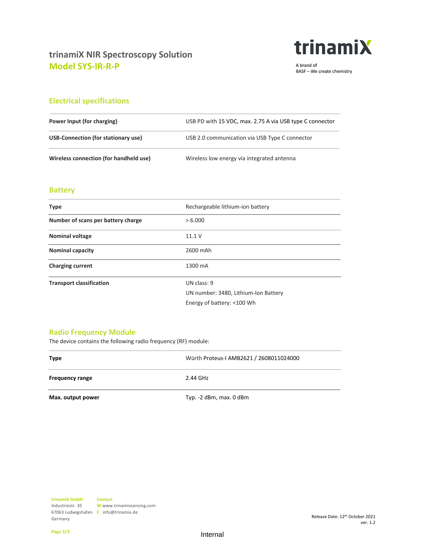

A brand of BASF - We create chemistry

## **Electrical specifications**

| Power Input (for charging)             | USB PD with 15 VDC, max. 2.75 A via USB type C connector |  |
|----------------------------------------|----------------------------------------------------------|--|
| USB-Connection (for stationary use)    | USB 2.0 communication via USB Type C connector           |  |
| Wireless connection (for handheld use) | Wireless low energy via integrated antenna               |  |

## **Battery**

| <b>Type</b>                        | Rechargeable lithium-ion battery                                                  |  |
|------------------------------------|-----------------------------------------------------------------------------------|--|
| Number of scans per battery charge | > 6.000                                                                           |  |
| <b>Nominal voltage</b>             | 11.1V                                                                             |  |
| <b>Nominal capacity</b>            | 2600 mAh                                                                          |  |
| <b>Charging current</b>            | 1300 mA                                                                           |  |
| <b>Transport classification</b>    | UN class: 9<br>UN number: 3480, Lithium-Ion Battery<br>Energy of battery: <100 Wh |  |

## **Radio Frequency Module**

The device contains the following radio frequency (RF) module:

| <b>Type</b>            | Würth Proteus-I AMB2621 / 2608011024000 |  |
|------------------------|-----------------------------------------|--|
| <b>Frequency range</b> | 2.44 GHz                                |  |
| Max. output power      | Typ. -2 dBm, max. 0 dBm                 |  |

**Page 2/3**